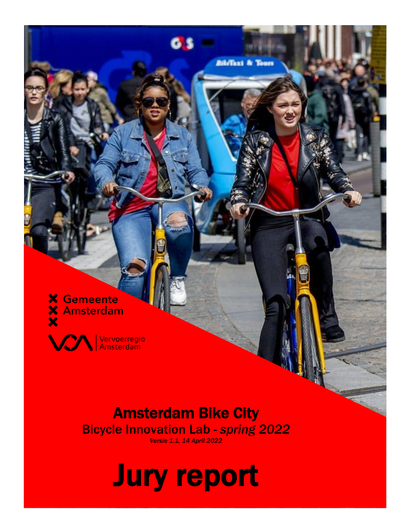**X** Gemeente **X** Amsterdam



i<br>S

Vervoerregio<br>Amsterdam

#### Amsterdam Bike City Bicycle Innovation Lab *- spring 2022*

*Versie 1.1, 14 April 2022*

**Bibiliani** & Tours

# Jury report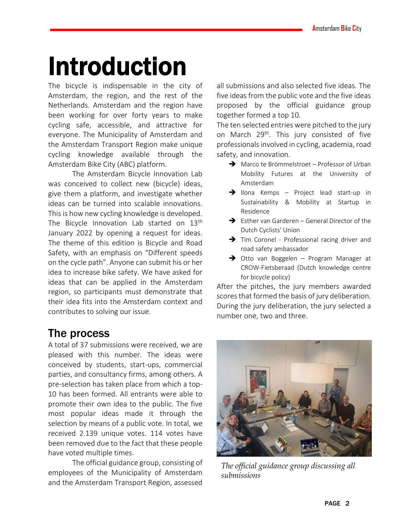### Introduction

The bicycle is indispensable in the city of Amsterdam, the region, and the rest of the Netherlands. Amsterdam and the region have been working for over forty years to make cycling safe, accessible, and attractive for everyone. The Municipality of Amsterdam and the Amsterdam Transport Region make unique cycling knowledge available through the Amsterdam Bike City (ABC) platform.

The Amsterdam Bicycle Innovation Lab was conceived to collect new (bicycle) ideas, give them a platform, and investigate whether ideas can be turned into scalable innovations. This is how new cycling knowledge is developed. The Bicycle Innovation Lab started on 13<sup>th</sup> January 2022 by opening a request for ideas. The theme of this edition is Bicycle and Road Safety, with an emphasis on "Different speeds on the cycle path". Anyone can submit his or her idea to increase bike safety. We have asked for ideas that can be applied in the Amsterdam region, so participants must demonstrate that their idea fits into the Amsterdam context and contributes to solving our issue.

#### The process

A total of 37 submissions were received, we are pleased with this number. The ideas were conceived by students, start-ups, commercial parties, and consultancy firms, among others. A pre-selection has taken place from which a top-10 has been formed. All entrants were able to promote their own idea to the public. The five most popular ideas made it through the selection by means of a public vote. In total, we received 2.139 unique votes. 114 votes have been removed due to the fact that these people have voted multiple times.

The official guidance group, consisting of employees of the Municipality of Amsterdam and the Amsterdam Transport Region, assessed

all submissions and also selected five ideas. The five ideas from the public vote and the five ideas proposed by the official guidance group together formed a top 10.

The ten selected entries were pitched to the jury on March 29<sup>th</sup>. This jury consisted of five professionals involved in cycling, academia, road safety, and innovation.

- ➔ Marco te Brömmelstroet Professor of Urban Mobility Futures at the University of Amsterdam
- ➔ Ilona Kemps Project lead start-up in Sustainability & Mobility at Startup in Residence
- ➔ Esther van Garderen General Director of the Dutch Cyclists' Union
- ➔ Tim Coronel Professional racing driver and road safety ambassador
- ➔ Otto van Boggelen Program Manager at CROW-Fietsberaad (Dutch knowledge centre for bicycle policy)

After the pitches, the jury members awarded scores that formed the basis of jury deliberation. During the jury deliberation, the jury selected a number one, two and three.



*The official guidance group discussing all submissions*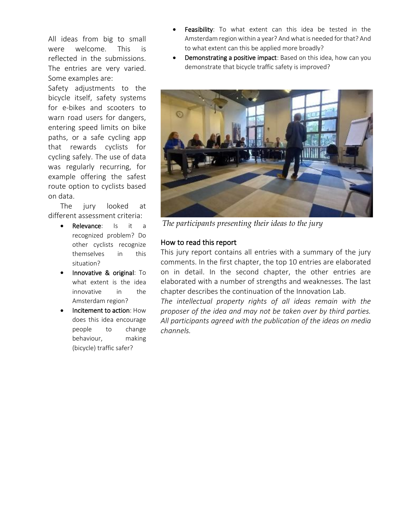All ideas from big to small were welcome. This is reflected in the submissions. The entries are very varied. Some examples are:

Safety adjustments to the bicycle itself, safety systems for e-bikes and scooters to warn road users for dangers, entering speed limits on bike paths, or a safe cycling app that rewards cyclists for cycling safely. The use of data was regularly recurring, for example offering the safest route option to cyclists based on data.

The jury looked at different assessment criteria:

- Relevance: Is it a recognized problem? Do other cyclists recognize themselves in this situation?
- Innovative & original: To what extent is the idea innovative in the Amsterdam region?
- Incitement to action: How does this idea encourage people to change behaviour, making (bicycle) traffic safer?
- Feasibility: To what extent can this idea be tested in the Amsterdam region within a year? And what is needed for that? And to what extent can this be applied more broadly?
- Demonstrating a positive impact: Based on this idea, how can you demonstrate that bicycle traffic safety is improved?



*The participants presenting their ideas to the jury*

#### How to read this report

This jury report contains all entries with a summary of the jury comments. In the first chapter, the top 10 entries are elaborated on in detail. In the second chapter, the other entries are elaborated with a number of strengths and weaknesses. The last chapter describes the continuation of the Innovation Lab.

*The intellectual property rights of all ideas remain with the proposer of the idea and may not be taken over by third parties. All participants agreed with the publication of the ideas on media channels.*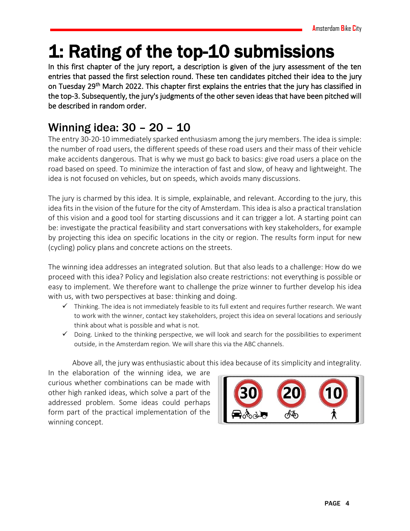### 1: Rating of the top-10 submissions

In this first chapter of the jury report, a description is given of the jury assessment of the ten entries that passed the first selection round. These ten candidates pitched their idea to the jury on Tuesday 29<sup>th</sup> March 2022. This chapter first explains the entries that the jury has classified in the top-3. Subsequently, the jury's judgments of the other seven ideas that have been pitched will be described in random order.

#### Winning idea: 30 – 20 – 10

The entry 30-20-10 immediately sparked enthusiasm among the jury members. The idea is simple: the number of road users, the different speeds of these road users and their mass of their vehicle make accidents dangerous. That is why we must go back to basics: give road users a place on the road based on speed. To minimize the interaction of fast and slow, of heavy and lightweight. The idea is not focused on vehicles, but on speeds, which avoids many discussions.

The jury is charmed by this idea. It is simple, explainable, and relevant. According to the jury, this idea fits in the vision of the future for the city of Amsterdam. This idea is also a practical translation of this vision and a good tool for starting discussions and it can trigger a lot. A starting point can be: investigate the practical feasibility and start conversations with key stakeholders, for example by projecting this idea on specific locations in the city or region. The results form input for new (cycling) policy plans and concrete actions on the streets.

The winning idea addresses an integrated solution. But that also leads to a challenge: How do we proceed with this idea? Policy and legislation also create restrictions: not everything is possible or easy to implement. We therefore want to challenge the prize winner to further develop his idea with us, with two perspectives at base: thinking and doing.

- ✓ Thinking. The idea is not immediately feasible to its full extent and requires further research. We want to work with the winner, contact key stakeholders, project this idea on several locations and seriously think about what is possible and what is not.
- $\checkmark$  Doing. Linked to the thinking perspective, we will look and search for the possibilities to experiment outside, in the Amsterdam region. We will share this via the ABC channels.

Above all, the jury was enthusiastic about this idea because of its simplicity and integrality.

In the elaboration of the winning idea, we are curious whether combinations can be made with other high ranked ideas, which solve a part of the addressed problem. Some ideas could perhaps form part of the practical implementation of the winning concept.

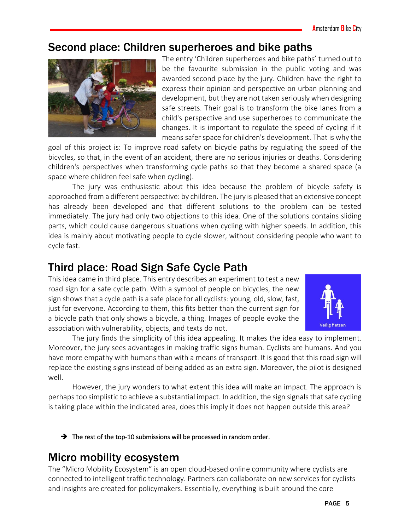#### Second place: Children superheroes and bike paths



The entry 'Children superheroes and bike paths' turned out to be the favourite submission in the public voting and was awarded second place by the jury. Children have the right to express their opinion and perspective on urban planning and development, but they are not taken seriously when designing safe streets. Their goal is to transform the bike lanes from a child's perspective and use superheroes to communicate the changes. It is important to regulate the speed of cycling if it means safer space for children's development. That is why the

goal of this project is: To improve road safety on bicycle paths by regulating the speed of the bicycles, so that, in the event of an accident, there are no serious injuries or deaths. Considering children's perspectives when transforming cycle paths so that they become a shared space (a space where children feel safe when cycling).

The jury was enthusiastic about this idea because the problem of bicycle safety is approached from a different perspective: by children. The jury is pleased that an extensive concept has already been developed and that different solutions to the problem can be tested immediately. The jury had only two objections to this idea. One of the solutions contains sliding parts, which could cause dangerous situations when cycling with higher speeds. In addition, this idea is mainly about motivating people to cycle slower, without considering people who want to cycle fast.

#### Third place: Road Sign Safe Cycle Path

This idea came in third place. This entry describes an experiment to test a new road sign for a safe cycle path. With a symbol of people on bicycles, the new sign shows that a cycle path is a safe place for all cyclists: young, old, slow, fast, just for everyone. According to them, this fits better than the current sign for a bicycle path that only shows a bicycle, a thing. Images of people evoke the association with vulnerability, objects, and texts do not.



The jury finds the simplicity of this idea appealing. It makes the idea easy to implement. Moreover, the jury sees advantages in making traffic signs human. Cyclists are humans. And you have more empathy with humans than with a means of transport. It is good that this road sign will replace the existing signs instead of being added as an extra sign. Moreover, the pilot is designed well.

However, the jury wonders to what extent this idea will make an impact. The approach is perhaps too simplistic to achieve a substantial impact. In addition, the sign signals that safe cycling is taking place within the indicated area, does this imply it does not happen outside this area?

→ The rest of the top-10 submissions will be processed in random order.

#### Micro mobility ecosystem

The "Micro Mobility Ecosystem" is an open cloud-based online community where cyclists are connected to intelligent traffic technology. Partners can collaborate on new services for cyclists and insights are created for policymakers. Essentially, everything is built around the core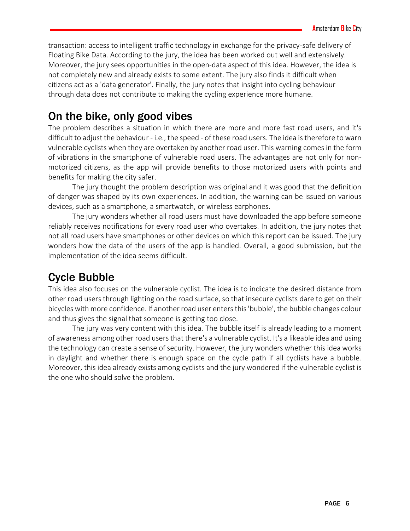transaction: access to intelligent traffic technology in exchange for the privacy-safe delivery of Floating Bike Data. According to the jury, the idea has been worked out well and extensively. Moreover, the jury sees opportunities in the open-data aspect of this idea. However, the idea is not completely new and already exists to some extent. The jury also finds it difficult when citizens act as a 'data generator'. Finally, the jury notes that insight into cycling behaviour through data does not contribute to making the cycling experience more humane.

#### On the bike, only good vibes

The problem describes a situation in which there are more and more fast road users, and it's difficult to adjust the behaviour - i.e., the speed - of these road users. The idea is therefore to warn vulnerable cyclists when they are overtaken by another road user. This warning comes in the form of vibrations in the smartphone of vulnerable road users. The advantages are not only for nonmotorized citizens, as the app will provide benefits to those motorized users with points and benefits for making the city safer.

The jury thought the problem description was original and it was good that the definition of danger was shaped by its own experiences. In addition, the warning can be issued on various devices, such as a smartphone, a smartwatch, or wireless earphones.

The jury wonders whether all road users must have downloaded the app before someone reliably receives notifications for every road user who overtakes. In addition, the jury notes that not all road users have smartphones or other devices on which this report can be issued. The jury wonders how the data of the users of the app is handled. Overall, a good submission, but the implementation of the idea seems difficult.

#### Cycle Bubble

This idea also focuses on the vulnerable cyclist. The idea is to indicate the desired distance from other road users through lighting on the road surface, so that insecure cyclists dare to get on their bicycles with more confidence. If another road user enters this 'bubble', the bubble changes colour and thus gives the signal that someone is getting too close.

The jury was very content with this idea. The bubble itself is already leading to a moment of awareness among other road users that there's a vulnerable cyclist. It's a likeable idea and using the technology can create a sense of security. However, the jury wonders whether this idea works in daylight and whether there is enough space on the cycle path if all cyclists have a bubble. Moreover, this idea already exists among cyclists and the jury wondered if the vulnerable cyclist is the one who should solve the problem.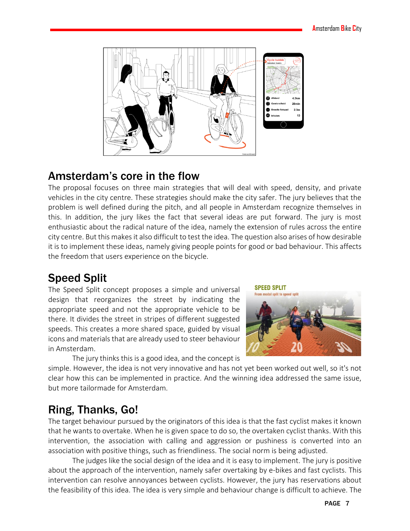

#### Amsterdam's core in the flow

The proposal focuses on three main strategies that will deal with speed, density, and private vehicles in the city centre. These strategies should make the city safer. The jury believes that the problem is well defined during the pitch, and all people in Amsterdam recognize themselves in this. In addition, the jury likes the fact that several ideas are put forward. The jury is most enthusiastic about the radical nature of the idea, namely the extension of rules across the entire city centre. But this makes it also difficult to test the idea. The question also arises of how desirable it is to implement these ideas, namely giving people points for good or bad behaviour. This affects the freedom that users experience on the bicycle.

#### Speed Split

The Speed Split concept proposes a simple and universal design that reorganizes the street by indicating the appropriate speed and not the appropriate vehicle to be there. It divides the street in stripes of different suggested speeds. This creates a more shared space, guided by visual icons and materials that are already used to steer behaviour in Amsterdam.



The jury thinks this is a good idea, and the concept is

simple. However, the idea is not very innovative and has not yet been worked out well, so it's not clear how this can be implemented in practice. And the winning idea addressed the same issue, but more tailormade for Amsterdam.

#### Ring, Thanks, Go!

The target behaviour pursued by the originators of this idea is that the fast cyclist makes it known that he wants to overtake. When he is given space to do so, the overtaken cyclist thanks. With this intervention, the association with calling and aggression or pushiness is converted into an association with positive things, such as friendliness. The social norm is being adjusted.

The judges like the social design of the idea and it is easy to implement. The jury is positive about the approach of the intervention, namely safer overtaking by e-bikes and fast cyclists. This intervention can resolve annoyances between cyclists. However, the jury has reservations about the feasibility of this idea. The idea is very simple and behaviour change is difficult to achieve. The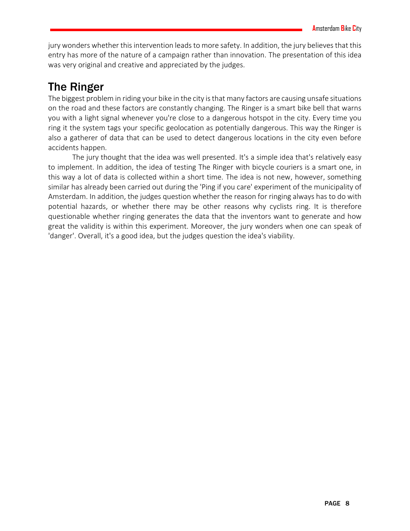jury wonders whether this intervention leads to more safety. In addition, the jury believes that this entry has more of the nature of a campaign rather than innovation. The presentation of this idea was very original and creative and appreciated by the judges.

#### The Ringer

The biggest problem in riding your bike in the city is that many factors are causing unsafe situations on the road and these factors are constantly changing. The Ringer is a smart bike bell that warns you with a light signal whenever you're close to a dangerous hotspot in the city. Every time you ring it the system tags your specific geolocation as potentially dangerous. This way the Ringer is also a gatherer of data that can be used to detect dangerous locations in the city even before accidents happen.

The jury thought that the idea was well presented. It's a simple idea that's relatively easy to implement. In addition, the idea of testing The Ringer with bicycle couriers is a smart one, in this way a lot of data is collected within a short time. The idea is not new, however, something similar has already been carried out during the 'Ping if you care' experiment of the municipality of Amsterdam. In addition, the judges question whether the reason for ringing always has to do with potential hazards, or whether there may be other reasons why cyclists ring. It is therefore questionable whether ringing generates the data that the inventors want to generate and how great the validity is within this experiment. Moreover, the jury wonders when one can speak of 'danger'. Overall, it's a good idea, but the judges question the idea's viability.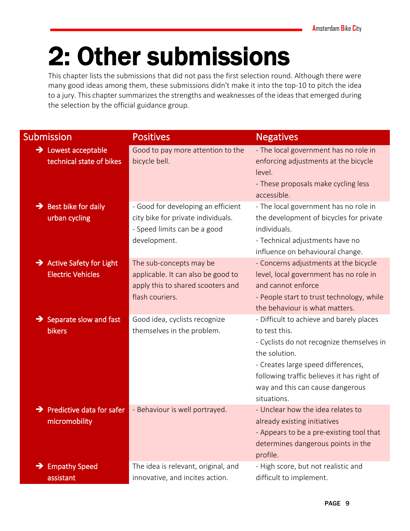## 2: Other submissions

This chapter lists the submissions that did not pass the first selection round. Although there were many good ideas among them, these submissions didn't make it into the top-10 to pitch the idea to a jury. This chapter summarizes the strengths and weaknesses of the ideas that emerged during the selection by the official guidance group.

| <b>Submission</b>                                                 | <b>Positives</b>                                                                                                         | <b>Negatives</b>                                                                                                                                                                                                                                               |
|-------------------------------------------------------------------|--------------------------------------------------------------------------------------------------------------------------|----------------------------------------------------------------------------------------------------------------------------------------------------------------------------------------------------------------------------------------------------------------|
| $\rightarrow$ Lowest acceptable<br>technical state of bikes       | Good to pay more attention to the<br>bicycle bell.                                                                       | - The local government has no role in<br>enforcing adjustments at the bicycle<br>level.<br>- These proposals make cycling less<br>accessible.                                                                                                                  |
| $\rightarrow$ Best bike for daily<br>urban cycling                | - Good for developing an efficient<br>city bike for private individuals.<br>- Speed limits can be a good<br>development. | - The local government has no role in<br>the development of bicycles for private<br>individuals.<br>- Technical adjustments have no<br>influence on behavioural change.                                                                                        |
| $\rightarrow$ Active Safety for Light<br><b>Electric Vehicles</b> | The sub-concepts may be<br>applicable. It can also be good to<br>apply this to shared scooters and<br>flash couriers.    | - Concerns adjustments at the bicycle<br>level, local government has no role in<br>and cannot enforce<br>- People start to trust technology, while<br>the behaviour is what matters.                                                                           |
| $\rightarrow$ Separate slow and fast<br><b>bikers</b>             | Good idea, cyclists recognize<br>themselves in the problem.                                                              | - Difficult to achieve and barely places<br>to test this.<br>- Cyclists do not recognize themselves in<br>the solution.<br>- Creates large speed differences,<br>following traffic believes it has right of<br>way and this can cause dangerous<br>situations. |
| $\rightarrow$ Predictive data for safer<br>micromobility          | - Behaviour is well portrayed.                                                                                           | - Unclear how the idea relates to<br>already existing initiatives<br>- Appears to be a pre-existing tool that<br>determines dangerous points in the<br>profile.                                                                                                |
| <b>Empathy Speed</b><br>→<br>assistant                            | The idea is relevant, original, and<br>innovative, and incites action.                                                   | - High score, but not realistic and<br>difficult to implement.                                                                                                                                                                                                 |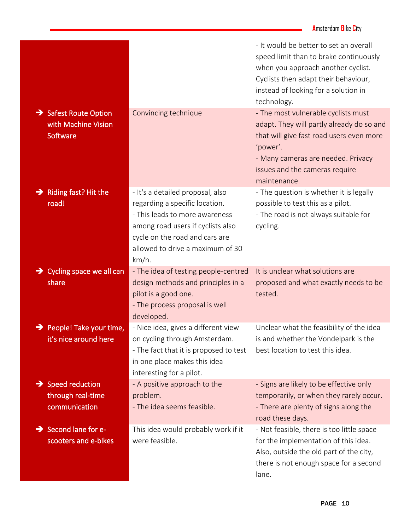|                                                                      |                                                                                                                                                                                                                          | - It would be better to set an overall<br>speed limit than to brake continuously<br>when you approach another cyclist.<br>Cyclists then adapt their behaviour,<br>instead of looking for a solution in<br>technology.            |
|----------------------------------------------------------------------|--------------------------------------------------------------------------------------------------------------------------------------------------------------------------------------------------------------------------|----------------------------------------------------------------------------------------------------------------------------------------------------------------------------------------------------------------------------------|
| $\rightarrow$ Safest Route Option<br>with Machine Vision<br>Software | Convincing technique                                                                                                                                                                                                     | - The most vulnerable cyclists must<br>adapt. They will partly already do so and<br>that will give fast road users even more<br>'power'.<br>- Many cameras are needed. Privacy<br>issues and the cameras require<br>maintenance. |
| Riding fast? Hit the<br>→<br>road!                                   | - It's a detailed proposal, also<br>regarding a specific location.<br>- This leads to more awareness<br>among road users if cyclists also<br>cycle on the road and cars are<br>allowed to drive a maximum of 30<br>km/h. | - The question is whether it is legally<br>possible to test this as a pilot.<br>- The road is not always suitable for<br>cycling.                                                                                                |
| $\rightarrow$ Cycling space we all can<br>share                      | - The idea of testing people-centred<br>design methods and principles in a<br>pilot is a good one.<br>- The process proposal is well<br>developed.                                                                       | It is unclear what solutions are<br>proposed and what exactly needs to be<br>tested.                                                                                                                                             |
| People! Take your time,<br>it's nice around here                     | - Nice idea, gives a different view<br>on cycling through Amsterdam.<br>- The fact that it is proposed to test<br>in one place makes this idea<br>interesting for a pilot.                                               | Unclear what the feasibility of the idea<br>is and whether the Vondelpark is the<br>best location to test this idea.                                                                                                             |
| $\rightarrow$ Speed reduction<br>through real-time<br>communication  | - A positive approach to the<br>problem.<br>- The idea seems feasible.                                                                                                                                                   | - Signs are likely to be effective only<br>temporarily, or when they rarely occur.<br>- There are plenty of signs along the<br>road these days.                                                                                  |
| $\rightarrow$ Second lane for e-<br>scooters and e-bikes             | This idea would probably work if it<br>were feasible.                                                                                                                                                                    | - Not feasible, there is too little space<br>for the implementation of this idea.<br>Also, outside the old part of the city,<br>there is not enough space for a second<br>lane.                                                  |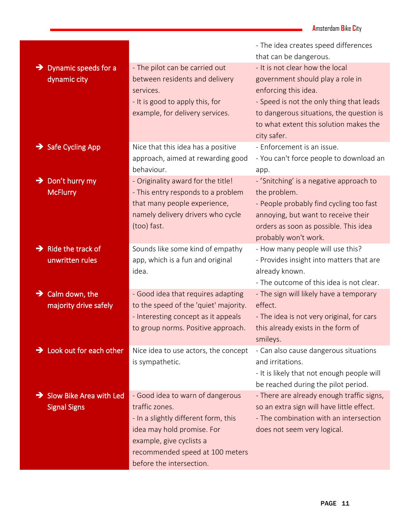|                                                    |                                                                                                                    | - The idea creates speed differences<br>that can be dangerous.                                                                                                                                            |
|----------------------------------------------------|--------------------------------------------------------------------------------------------------------------------|-----------------------------------------------------------------------------------------------------------------------------------------------------------------------------------------------------------|
| Dynamic speeds for a<br>$\rightarrow$              | - The pilot can be carried out                                                                                     | - It is not clear how the local                                                                                                                                                                           |
| dynamic city                                       | between residents and delivery<br>services.<br>- It is good to apply this, for<br>example, for delivery services.  | government should play a role in<br>enforcing this idea.<br>- Speed is not the only thing that leads<br>to dangerous situations, the question is<br>to what extent this solution makes the<br>city safer. |
| $\rightarrow$ Safe Cycling App                     | Nice that this idea has a positive                                                                                 | - Enforcement is an issue.                                                                                                                                                                                |
|                                                    | approach, aimed at rewarding good<br>behaviour.                                                                    | - You can't force people to download an                                                                                                                                                                   |
| Don't hurry my<br>→                                | - Originality award for the title!                                                                                 | app.<br>- 'Snitching' is a negative approach to                                                                                                                                                           |
| <b>McFlurry</b>                                    | - This entry responds to a problem                                                                                 | the problem.                                                                                                                                                                                              |
|                                                    | that many people experience,<br>namely delivery drivers who cycle<br>(too) fast.                                   | - People probably find cycling too fast<br>annoying, but want to receive their<br>orders as soon as possible. This idea<br>probably won't work.                                                           |
| $\rightarrow$ Ride the track of<br>unwritten rules | Sounds like some kind of empathy<br>app, which is a fun and original<br>idea.                                      | - How many people will use this?<br>- Provides insight into matters that are<br>already known.<br>- The outcome of this idea is not clear.                                                                |
| $\rightarrow$ Calm down, the                       | - Good idea that requires adapting                                                                                 | - The sign will likely have a temporary                                                                                                                                                                   |
| majority drive safely                              | to the speed of the 'quiet' majority.<br>- Interesting concept as it appeals<br>to group norms. Positive approach. | effect.<br>- The idea is not very original, for cars<br>this already exists in the form of<br>smileys.                                                                                                    |
| $\rightarrow$ Look out for each other              | Nice idea to use actors, the concept<br>is sympathetic.                                                            | - Can also cause dangerous situations<br>and irritations.<br>- It is likely that not enough people will<br>be reached during the pilot period.                                                            |
| Slow Bike Area with Led                            | - Good idea to warn of dangerous                                                                                   | - There are already enough traffic signs,                                                                                                                                                                 |
| <b>Signal Signs</b>                                | traffic zones.                                                                                                     | so an extra sign will have little effect.                                                                                                                                                                 |
|                                                    | - In a slightly different form, this<br>idea may hold promise. For                                                 | - The combination with an intersection                                                                                                                                                                    |
|                                                    | example, give cyclists a                                                                                           | does not seem very logical.                                                                                                                                                                               |
|                                                    | recommended speed at 100 meters                                                                                    |                                                                                                                                                                                                           |
|                                                    | before the intersection.                                                                                           |                                                                                                                                                                                                           |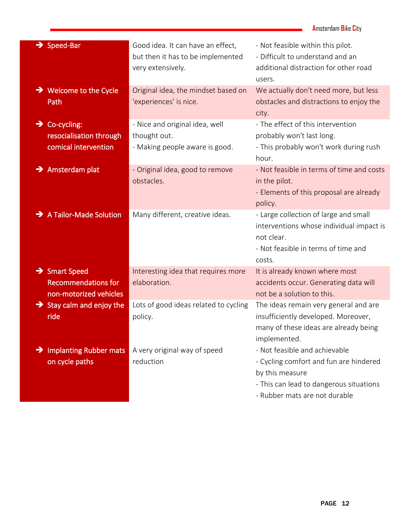|                                                                                   |                                                                                             | <b>Amsterdam Bike City</b>                                                                                                                                             |
|-----------------------------------------------------------------------------------|---------------------------------------------------------------------------------------------|------------------------------------------------------------------------------------------------------------------------------------------------------------------------|
| $\rightarrow$ Speed-Bar                                                           | Good idea. It can have an effect,<br>but then it has to be implemented<br>very extensively. | - Not feasible within this pilot.<br>- Difficult to understand and an<br>additional distraction for other road<br>users.                                               |
| $\rightarrow$ Welcome to the Cycle<br>Path                                        | Original idea, the mindset based on<br>'experiences' is nice.                               | We actually don't need more, but less<br>obstacles and distractions to enjoy the<br>city.                                                                              |
| Co-cycling:<br>→<br>resocialisation through<br>comical intervention               | - Nice and original idea, well<br>thought out.<br>- Making people aware is good.            | - The effect of this intervention<br>probably won't last long.<br>- This probably won't work during rush<br>hour.                                                      |
| $\rightarrow$ Amsterdam plat                                                      | - Original idea, good to remove<br>obstacles.                                               | - Not feasible in terms of time and costs<br>in the pilot.<br>- Elements of this proposal are already<br>policy.                                                       |
| A Tailor-Made Solution                                                            | Many different, creative ideas.                                                             | - Large collection of large and small<br>interventions whose individual impact is<br>not clear.<br>- Not feasible in terms of time and<br>costs.                       |
| $\rightarrow$ Smart Speed<br><b>Recommendations for</b><br>non-motorized vehicles | Interesting idea that requires more<br>elaboration.                                         | It is already known where most<br>accidents occur. Generating data will<br>not be a solution to this.                                                                  |
| $\rightarrow$ Stay calm and enjoy the<br>ride                                     | Lots of good ideas related to cycling<br>policy.                                            | The ideas remain very general and are<br>insufficiently developed. Moreover,<br>many of these ideas are already being<br>implemented.                                  |
| $\rightarrow$ Implanting Rubber mats<br>on cycle paths                            | A very original way of speed<br>reduction                                                   | - Not feasible and achievable<br>- Cycling comfort and fun are hindered<br>by this measure<br>- This can lead to dangerous situations<br>- Rubber mats are not durable |